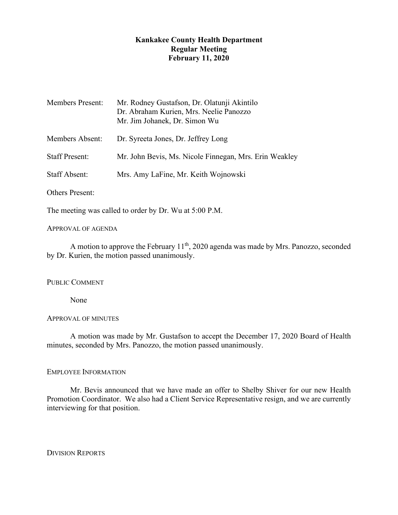# **Kankakee County Health Department Regular Meeting February 11, 2020**

| <b>Members Present:</b> | Mr. Rodney Gustafson, Dr. Olatunji Akintilo<br>Dr. Abraham Kurien, Mrs. Neelie Panozzo<br>Mr. Jim Johanek, Dr. Simon Wu |
|-------------------------|-------------------------------------------------------------------------------------------------------------------------|
| Members Absent:         | Dr. Syreeta Jones, Dr. Jeffrey Long                                                                                     |
| <b>Staff Present:</b>   | Mr. John Bevis, Ms. Nicole Finnegan, Mrs. Erin Weakley                                                                  |
| <b>Staff Absent:</b>    | Mrs. Amy LaFine, Mr. Keith Wojnowski                                                                                    |
| <b>Others Present:</b>  |                                                                                                                         |

The meeting was called to order by Dr. Wu at 5:00 P.M.

### APPROVAL OF AGENDA

A motion to approve the February 11<sup>th</sup>, 2020 agenda was made by Mrs. Panozzo, seconded by Dr. Kurien, the motion passed unanimously.

## PUBLIC COMMENT

None

## APPROVAL OF MINUTES

A motion was made by Mr. Gustafson to accept the December 17, 2020 Board of Health minutes, seconded by Mrs. Panozzo, the motion passed unanimously.

## EMPLOYEE INFORMATION

Mr. Bevis announced that we have made an offer to Shelby Shiver for our new Health Promotion Coordinator. We also had a Client Service Representative resign, and we are currently interviewing for that position.

DIVISION REPORTS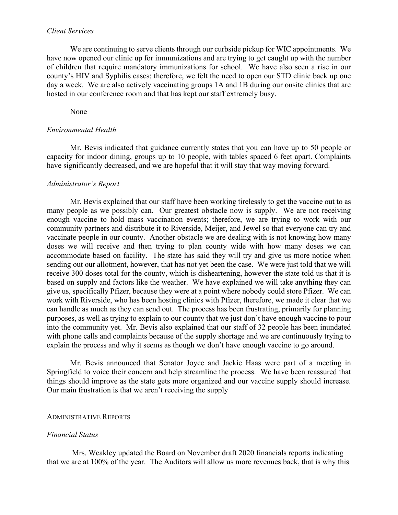#### *Client Services*

We are continuing to serve clients through our curbside pickup for WIC appointments. We have now opened our clinic up for immunizations and are trying to get caught up with the number of children that require mandatory immunizations for school. We have also seen a rise in our county's HIV and Syphilis cases; therefore, we felt the need to open our STD clinic back up one day a week. We are also actively vaccinating groups 1A and 1B during our onsite clinics that are hosted in our conference room and that has kept our staff extremely busy.

None

### *Environmental Health*

Mr. Bevis indicated that guidance currently states that you can have up to 50 people or capacity for indoor dining, groups up to 10 people, with tables spaced 6 feet apart. Complaints have significantly decreased, and we are hopeful that it will stay that way moving forward.

#### *Administrator's Report*

Mr. Bevis explained that our staff have been working tirelessly to get the vaccine out to as many people as we possibly can. Our greatest obstacle now is supply. We are not receiving enough vaccine to hold mass vaccination events; therefore, we are trying to work with our community partners and distribute it to Riverside, Meijer, and Jewel so that everyone can try and vaccinate people in our county. Another obstacle we are dealing with is not knowing how many doses we will receive and then trying to plan county wide with how many doses we can accommodate based on facility. The state has said they will try and give us more notice when sending out our allotment, however, that has not yet been the case. We were just told that we will receive 300 doses total for the county, which is disheartening, however the state told us that it is based on supply and factors like the weather. We have explained we will take anything they can give us, specifically Pfizer, because they were at a point where nobody could store Pfizer. We can work with Riverside, who has been hosting clinics with Pfizer, therefore, we made it clear that we can handle as much as they can send out. The process has been frustrating, primarily for planning purposes, as well as trying to explain to our county that we just don't have enough vaccine to pour into the community yet. Mr. Bevis also explained that our staff of 32 people has been inundated with phone calls and complaints because of the supply shortage and we are continuously trying to explain the process and why it seems as though we don't have enough vaccine to go around.

Mr. Bevis announced that Senator Joyce and Jackie Haas were part of a meeting in Springfield to voice their concern and help streamline the process. We have been reassured that things should improve as the state gets more organized and our vaccine supply should increase. Our main frustration is that we aren't receiving the supply

#### ADMINISTRATIVE REPORTS

#### *Financial Status*

Mrs. Weakley updated the Board on November draft 2020 financials reports indicating that we are at 100% of the year. The Auditors will allow us more revenues back, that is why this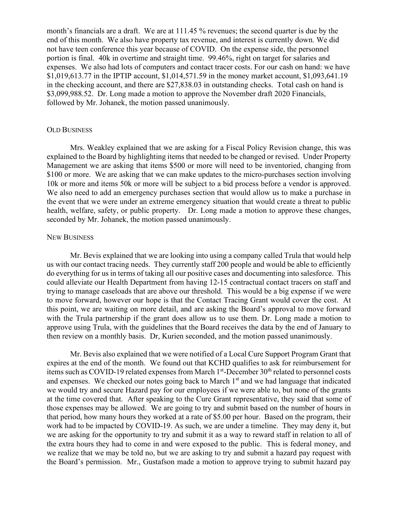month's financials are a draft. We are at 111.45 % revenues; the second quarter is due by the end of this month. We also have property tax revenue, and interest is currently down. We did not have teen conference this year because of COVID. On the expense side, the personnel portion is final. 40k in overtime and straight time. 99.46%, right on target for salaries and expenses. We also had lots of computers and contact tracer costs. For our cash on hand: we have \$1,019,613.77 in the IPTIP account, \$1,014,571.59 in the money market account, \$1,093,641.19 in the checking account, and there are \$27,838.03 in outstanding checks. Total cash on hand is \$3,099,988.52. Dr. Long made a motion to approve the November draft 2020 Financials, followed by Mr. Johanek, the motion passed unanimously.

#### OLD BUSINESS

Mrs. Weakley explained that we are asking for a Fiscal Policy Revision change, this was explained to the Board by highlighting items that needed to be changed or revised. Under Property Management we are asking that items \$500 or more will need to be inventoried, changing from \$100 or more. We are asking that we can make updates to the micro-purchases section involving 10k or more and items 50k or more will be subject to a bid process before a vendor is approved. We also need to add an emergency purchases section that would allow us to make a purchase in the event that we were under an extreme emergency situation that would create a threat to public health, welfare, safety, or public property. Dr. Long made a motion to approve these changes, seconded by Mr. Johanek, the motion passed unanimously.

#### NEW BUSINESS

Mr. Bevis explained that we are looking into using a company called Trula that would help us with our contact tracing needs. They currently staff 200 people and would be able to efficiently do everything for us in terms of taking all our positive cases and documenting into salesforce. This could alleviate our Health Department from having 12-15 contractual contact tracers on staff and trying to manage caseloads that are above our threshold. This would be a big expense if we were to move forward, however our hope is that the Contact Tracing Grant would cover the cost. At this point, we are waiting on more detail, and are asking the Board's approval to move forward with the Trula partnership if the grant does allow us to use them. Dr. Long made a motion to approve using Trula, with the guidelines that the Board receives the data by the end of January to then review on a monthly basis. Dr, Kurien seconded, and the motion passed unanimously.

Mr. Bevis also explained that we were notified of a Local Cure Support Program Grant that expires at the end of the month. We found out that KCHD qualifies to ask for reimbursement for items such as COVID-19 related expenses from March  $1<sup>st</sup>$ -December  $30<sup>th</sup>$  related to personnel costs and expenses. We checked our notes going back to March  $1<sup>st</sup>$  and we had language that indicated we would try and secure Hazard pay for our employees if we were able to, but none of the grants at the time covered that. After speaking to the Cure Grant representative, they said that some of those expenses may be allowed. We are going to try and submit based on the number of hours in that period, how many hours they worked at a rate of \$5.00 per hour. Based on the program, their work had to be impacted by COVID-19. As such, we are under a timeline. They may deny it, but we are asking for the opportunity to try and submit it as a way to reward staff in relation to all of the extra hours they had to come in and were exposed to the public. This is federal money, and we realize that we may be told no, but we are asking to try and submit a hazard pay request with the Board's permission. Mr., Gustafson made a motion to approve trying to submit hazard pay